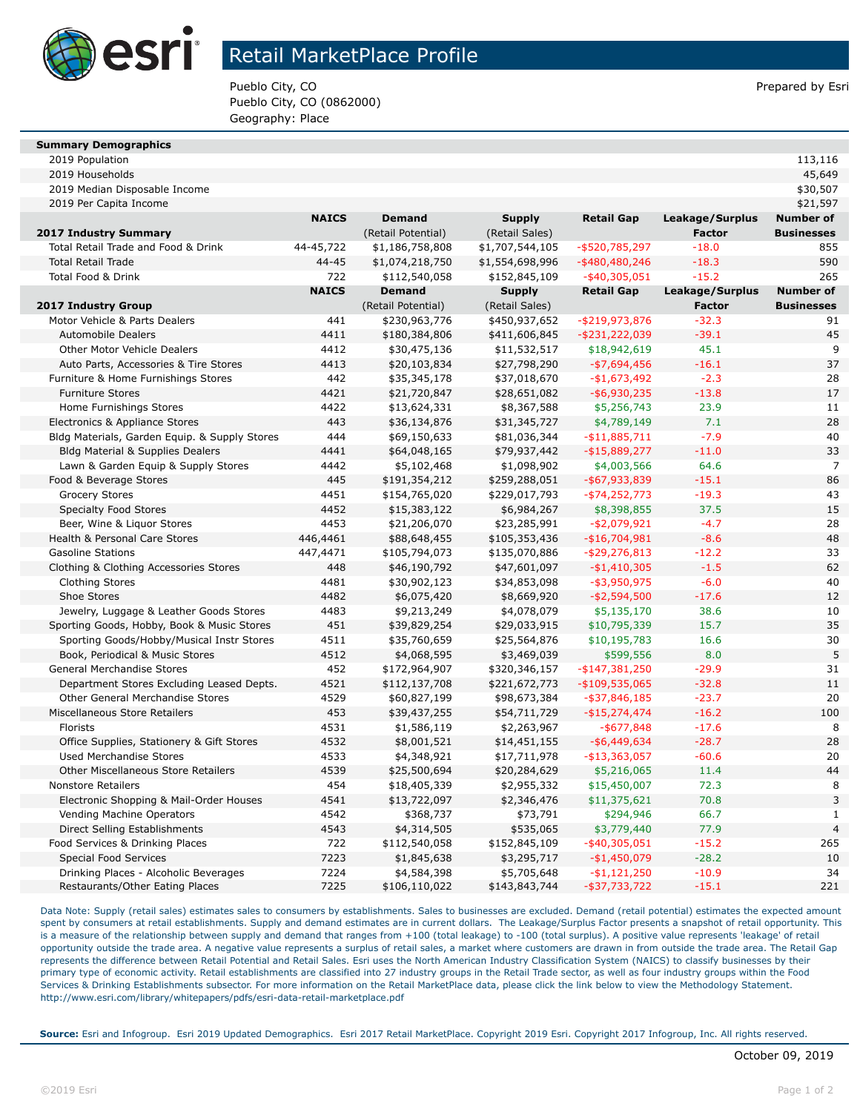

## Retail MarketPlace Profile

Pueblo City, CO **Prepared by Esri** Pueblo City, CO Pueblo City, CO (0862000) Geography: Place

#### **Summary Demographics**

2019 Population 113,116

| 2019 Median Disposable Income                 |              |                    |                 |                   |                 | \$30,507          |
|-----------------------------------------------|--------------|--------------------|-----------------|-------------------|-----------------|-------------------|
| 2019 Per Capita Income                        |              |                    |                 |                   |                 | \$21,597          |
|                                               | <b>NAICS</b> | <b>Demand</b>      | <b>Supply</b>   | <b>Retail Gap</b> | Leakage/Surplus | <b>Number of</b>  |
| 2017 Industry Summary                         |              | (Retail Potential) | (Retail Sales)  |                   | <b>Factor</b>   | <b>Businesses</b> |
| Total Retail Trade and Food & Drink           | 44-45,722    | \$1,186,758,808    | \$1,707,544,105 | $-$ \$520,785,297 | $-18.0$         | 855               |
| <b>Total Retail Trade</b>                     | 44-45        | \$1,074,218,750    | \$1,554,698,996 | $-$ \$480,480,246 | $-18.3$         | 590               |
| <b>Total Food &amp; Drink</b>                 | 722          | \$112,540,058      | \$152,845,109   | $-$ \$40,305,051  | $-15.2$         | 265               |
|                                               | <b>NAICS</b> | <b>Demand</b>      | <b>Supply</b>   | <b>Retail Gap</b> | Leakage/Surplus | <b>Number of</b>  |
| 2017 Industry Group                           |              | (Retail Potential) | (Retail Sales)  |                   | <b>Factor</b>   | <b>Businesses</b> |
| Motor Vehicle & Parts Dealers                 | 441          | \$230,963,776      | \$450,937,652   | $-$ \$219,973,876 | $-32.3$         | 91                |
| <b>Automobile Dealers</b>                     | 4411         | \$180,384,806      | \$411,606,845   | $-$ \$231,222,039 | $-39.1$         | 45                |
| Other Motor Vehicle Dealers                   | 4412         | \$30,475,136       | \$11,532,517    | \$18,942,619      | 45.1            | 9                 |
| Auto Parts, Accessories & Tire Stores         | 4413         | \$20,103,834       | \$27,798,290    | $-$7,694,456$     | $-16.1$         | 37                |
| Furniture & Home Furnishings Stores           | 442          | \$35,345,178       | \$37,018,670    | $-$1,673,492$     | $-2.3$          | 28                |
| <b>Furniture Stores</b>                       | 4421         | \$21,720,847       | \$28,651,082    | $-$ \$6,930,235   | $-13.8$         | 17                |
| Home Furnishings Stores                       | 4422         | \$13,624,331       | \$8,367,588     | \$5,256,743       | 23.9            | 11                |
| Electronics & Appliance Stores                | 443          | \$36,134,876       | \$31,345,727    | \$4,789,149       | 7.1             | 28                |
| Bldg Materials, Garden Equip. & Supply Stores | 444          | \$69,150,633       | \$81,036,344    | $-$ \$11,885,711  | $-7.9$          | 40                |
| <b>Bldg Material &amp; Supplies Dealers</b>   | 4441         | \$64,048,165       | \$79,937,442    | $-$ \$15,889,277  | $-11.0$         | 33                |
| Lawn & Garden Equip & Supply Stores           | 4442         | \$5,102,468        | \$1,098,902     | \$4,003,566       | 64.6            | $\overline{7}$    |
| Food & Beverage Stores                        | 445          | \$191,354,212      | \$259,288,051   | $-$ \$67,933,839  | $-15.1$         | 86                |
| <b>Grocery Stores</b>                         | 4451         | \$154,765,020      | \$229,017,793   | $-$ \$74,252,773  | $-19.3$         | 43                |
| <b>Specialty Food Stores</b>                  | 4452         | \$15,383,122       | \$6,984,267     | \$8,398,855       | 37.5            | 15                |
| Beer, Wine & Liquor Stores                    | 4453         | \$21,206,070       | \$23,285,991    | $-$2,079,921$     | $-4.7$          | 28                |
| Health & Personal Care Stores                 | 446,4461     | \$88,648,455       | \$105,353,436   | $-$16,704,981$    | $-8.6$          | 48                |
| <b>Gasoline Stations</b>                      | 447,4471     | \$105,794,073      | \$135,070,886   | $-$ \$29,276,813  | $-12.2$         | 33                |
| Clothing & Clothing Accessories Stores        | 448          | \$46,190,792       | \$47,601,097    | $-$1,410,305$     | $-1.5$          | 62                |
| <b>Clothing Stores</b>                        | 4481         | \$30,902,123       | \$34,853,098    | $-$ \$3,950,975   | $-6.0$          | 40                |
| Shoe Stores                                   | 4482         | \$6,075,420        | \$8,669,920     | $-$2,594,500$     | $-17.6$         | 12                |
| Jewelry, Luggage & Leather Goods Stores       | 4483         | \$9,213,249        | \$4,078,079     | \$5,135,170       | 38.6            | 10                |
| Sporting Goods, Hobby, Book & Music Stores    | 451          | \$39,829,254       | \$29,033,915    | \$10,795,339      | 15.7            | 35                |
| Sporting Goods/Hobby/Musical Instr Stores     | 4511         | \$35,760,659       | \$25,564,876    | \$10,195,783      | 16.6            | 30                |
| Book, Periodical & Music Stores               | 4512         | \$4,068,595        | \$3,469,039     | \$599,556         | 8.0             | 5                 |
| General Merchandise Stores                    | 452          | \$172,964,907      | \$320,346,157   | $-$147,381,250$   | $-29.9$         | 31                |
| Department Stores Excluding Leased Depts.     | 4521         | \$112,137,708      | \$221,672,773   | $-$109,535,065$   | $-32.8$         | 11                |
| Other General Merchandise Stores              | 4529         | \$60,827,199       | \$98,673,384    | $-$ \$37,846,185  | $-23.7$         | 20                |
| Miscellaneous Store Retailers                 | 453          | \$39,437,255       | \$54,711,729    | $-$ \$15,274,474  | $-16.2$         | 100               |
| Florists                                      | 4531         | \$1,586,119        | \$2,263,967     | $-$ \$677,848     | $-17.6$         | 8                 |
| Office Supplies, Stationery & Gift Stores     | 4532         | \$8,001,521        | \$14,451,155    | $-$ \$6,449,634   | $-28.7$         | 28                |
| <b>Used Merchandise Stores</b>                | 4533         | \$4,348,921        | \$17,711,978    | $- $13,363,057$   | $-60.6$         | 20                |
| Other Miscellaneous Store Retailers           | 4539         | \$25,500,694       | \$20,284,629    | \$5,216,065       | 11.4            | 44                |
| <b>Nonstore Retailers</b>                     | 454          | \$18,405,339       | \$2,955,332     | \$15,450,007      | 72.3            | 8                 |
| Electronic Shopping & Mail-Order Houses       | 4541         | \$13,722,097       | \$2,346,476     | \$11,375,621      | 70.8            | 3                 |
| Vending Machine Operators                     | 4542         | \$368,737          | \$73,791        | \$294,946         | 66.7            | $\mathbf{1}$      |
| Direct Selling Establishments                 | 4543         | \$4,314,505        | \$535,065       | \$3,779,440       | 77.9            | $\overline{4}$    |
| Food Services & Drinking Places               | 722          | \$112,540,058      | \$152,845,109   | $-$ \$40,305,051  | $-15.2$         | 265               |
| <b>Special Food Services</b>                  | 7223         | \$1,845,638        | \$3,295,717     | $-$1,450,079$     | $-28.2$         | 10                |
| Drinking Places - Alcoholic Beverages         | 7224         | \$4,584,398        | \$5,705,648     | $-$1,121,250$     | $-10.9$         | 34                |
| Restaurants/Other Eating Places               | 7225         | \$106,110,022      | \$143,843,744   | $-$ \$37,733,722  | $-15.1$         | 221               |
|                                               |              |                    |                 |                   |                 |                   |

2019 Households 45,649

Data Note: Supply (retail sales) estimates sales to consumers by establishments. Sales to businesses are excluded. Demand (retail potential) estimates the expected amount spent by consumers at retail establishments. Supply and demand estimates are in current dollars. The Leakage/Surplus Factor presents a snapshot of retail opportunity. This is a measure of the relationship between supply and demand that ranges from +100 (total leakage) to -100 (total surplus). A positive value represents 'leakage' of retail opportunity outside the trade area. A negative value represents a surplus of retail sales, a market where customers are drawn in from outside the trade area. The Retail Gap represents the difference between Retail Potential and Retail Sales. Esri uses the North American Industry Classification System (NAICS) to classify businesses by their primary type of economic activity. Retail establishments are classified into 27 industry groups in the Retail Trade sector, as well as four industry groups within the Food Services & Drinking Establishments subsector. For more information on the Retail MarketPlace data, please click the link below to view the Methodology Statement. http://www.esri.com/library/whitepapers/pdfs/esri-data-retail-marketplace.pdf

**Source:** Esri and Infogroup. Esri 2019 Updated Demographics. Esri 2017 Retail MarketPlace. Copyright 2019 Esri. Copyright 2017 Infogroup, Inc. All rights reserved.